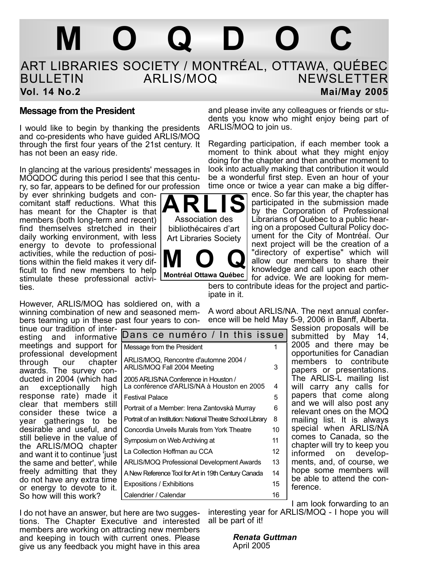# **MOQDOC**

### ART LIBRARIES SOCIETY / MONTRÉAL, OTTAWA, QUÉBEC **NEWSLETTER Vol. 14 No.2** Mai/May 2005

**ARLIS** Association des bibliothécaires d'art Art Libraries Society

**MOQ Montréal Ottawa Québec**

### **Message from the President**

I would like to begin by thanking the presidents and co-presidents who have guided ARLIS/MOQ through the first four years of the 21st century. It has not been an easy ride.

In glancing at the various presidents' messages in MOQDOC during this period I see that this century, so far, appears to be defined for our profession

by ever shrinking budgets and concomitant staff reductions. What this has meant for the Chapter is that members (both long-term and recent) find themselves stretched in their daily working environment, with less energy to devote to professional activities, while the reduction of positions within the field makes it very difficult to find new members to help stimulate these professional activities.

However, ARLIS/MOQ has soldiered on, with a winning combination of new and seasoned members teaming up in these past four years to con-

and please invite any colleagues or friends or students you know who might enjoy being part of ARLIS/MOQ to join us.

Regarding participation, if each member took a moment to think about what they might enjoy doing for the chapter and then another moment to look into actually making that contribution it would be a wonderful first step. Even an hour of your time once or twice a year can make a big differ-

ence. So far this year, the chapter has participated in the submission made by the Corporation of Professional Librarians of Québec to a public hearing on a proposed Cultural Policy document for the City of Montréal. Our next project will be the creation of a "directory of expertise" which will allow our members to share their knowledge and call upon each other for advice. We are looking for mem-

bers to contribute ideas for the project and participate in it.

tinue our tradition of inter-Dans ce numéro / In this issue

A word about ARLIS/NA. The next annual conference will be held May 5-9, 2006 in Banff, Alberta.

esting and informative meetings and support for professional development through our chapter awards. The survey conducted in 2004 (which had an exceptionally high response rate) made it clear that members still consider these twice a year gatherings to be desirable and useful, and still believe in the value of the ARLIS/MOQ chapter and want it to continue 'just the same and better', while freely admitting that they do not have any extra time or energy to devote to it. So how will this work?

| Dans ce numero / in this issue                                                      |    |
|-------------------------------------------------------------------------------------|----|
| Message from the President                                                          |    |
| ARLIS/MOQ, Rencontre d'automne 2004 /<br>ARLIS/MOQ Fall 2004 Meeting                | 3  |
| 2005 ARLIS/NA Conference in Houston /<br>La conférence d'ARLIS/NA à Houston en 2005 | 4  |
| <b>Festival Palace</b>                                                              | 5  |
| Portrait of a Member: Irena Zantovskà Murray                                        | 6  |
| Portrait of an Institution: National Theatre School Library                         | 8  |
| Concordia Unveils Murals from York Theatre                                          | 10 |
| Symposium on Web Archiving at                                                       | 11 |
| La Collection Hoffman au CCA                                                        | 12 |
| ARLIS/MOQ Professional Development Awards                                           | 13 |
| A New Reference Tool for Art in 19th Century Canada                                 | 14 |
| Expositions / Exhibitions                                                           | 15 |
| Calendrier / Calendar                                                               | 16 |
|                                                                                     |    |

Session proposals will be submitted by May 14, 2005 and there may be opportunities for Canadian members to contribute papers or presentations. The ARLIS-L mailing list will carry any calls for papers that come along and we will also post any relevant ones on the MOQ mailing list. It is always special when ARLIS/NA comes to Canada, so the chapter will try to keep you informed on developments, and, of course, we hope some members will be able to attend the conference.

I do not have an answer, but here are two suggestions. The Chapter Executive and interested members are working on attracting new members and keeping in touch with current ones. Please give us any feedback you might have in this area

I am look forwarding to an interesting year for ARLIS/MOQ - I hope you will all be part of it!

> *Renata Guttman* April 2005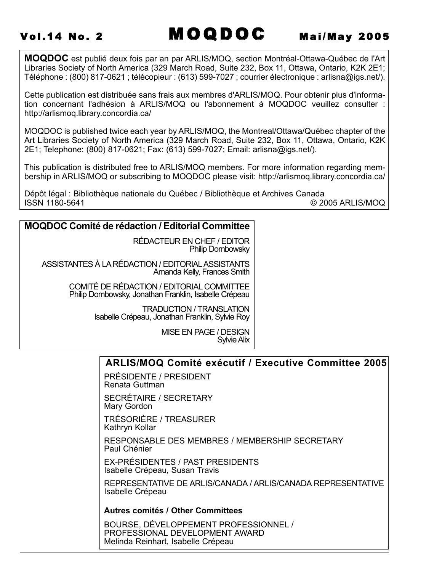**MOQDOC** est publié deux fois par an par ARLIS/MOQ, section Montréal-Ottawa-Québec de l'Art Libraries Society of North America (329 March Road, Suite 232, Box 11, Ottawa, Ontario, K2K 2E1; Téléphone : (800) 817-0621 ; télécopieur : (613) 599-7027 ; courrier électronique : arlisna@igs.net/).

Cette publication est distribuée sans frais aux membres d'ARLIS/MOQ. Pour obtenir plus d'information concernant l'adhésion à ARLIS/MOQ ou l'abonnement à MOQDOC veuillez consulter : http://arlismoq.library.concordia.ca/

MOQDOC is published twice each year by ARLIS/MOQ, the Montreal/Ottawa/Québec chapter of the Art Libraries Society of North America (329 March Road, Suite 232, Box 11, Ottawa, Ontario, K2K 2E1; Telephone: (800) 817-0621; Fax: (613) 599-7027; Email: arlisna@igs.net/).

This publication is distributed free to ARLIS/MOQ members. For more information regarding membership in ARLIS/MOQ or subscribing to MOQDOC please visit: http://arlismoq.library.concordia.ca/

Dépôt légal : Bibliothèque nationale du Québec / Bibliothèque et Archives Canada<br>ISSN 1180-5641 © 20 © 2005 ARLIS/MOQ

### **MOQDOC Comité de rédaction / Editorial Committee**

RÉDACTEUR EN CHEF / EDITOR Philip Dombowsky

ASSISTANTES À LA RÉDACTION / EDITORIALASSISTANTS Amanda Kelly, Frances Smith

> COMITÉ DE RÉDACTION / EDITORIAL COMMITTEE Philip Dombowsky, Jonathan Franklin, Isabelle Crépeau

> > TRADUCTION / TRANSLATION Isabelle Crépeau, Jonathan Franklin, Sylvie Roy

> > > MISE EN PAGE / DESIGN Sylvie Alix

### **ARLIS/MOQ Comité exécutif / Executive Committee 2005**

PRÉSIDENTE / PRESIDENT Renata Guttman

SECRÉTAIRE / SECRETARY Mary Gordon

TRÉSORIÈRE / TREASURER Kathryn Kollar

RESPONSABLE DES MEMBRES / MEMBERSHIP SECRETARY Paul Chénier

EX-PRÉSIDENTES / PAST PRESIDENTS Isabelle Crépeau, Susan Travis

REPRESENTATIVE DE ARLIS/CANADA / ARLIS/CANADA REPRESENTATIVE Isabelle Crépeau

**Autres comités / Other Committees**

BOURSE, DÉVELOPPEMENT PROFESSIONNEL / PROFESSIONAL DEVELOPMENT AWARD Melinda Reinhart, Isabelle Crépeau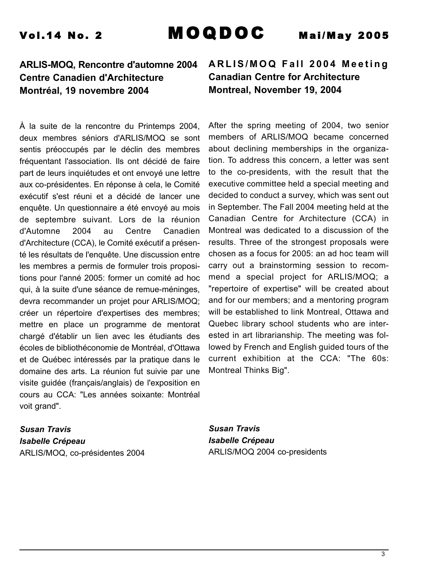### **ARLIS-MOQ, Rencontre d'automne 2004 Centre Canadien d'Architecture Montréal, 19 novembre 2004**

À la suite de la rencontre du Printemps 2004, deux membres séniors d'ARLIS/MOQ se sont sentis préoccupés par le déclin des membres fréquentant l'association. Ils ont décidé de faire part de leurs inquiétudes et ont envoyé une lettre aux co-présidentes. En réponse à cela, le Comité exécutif s'est réuni et a décidé de lancer une enquête. Un questionnaire a été envoyé au mois de septembre suivant. Lors de la réunion d'Automne 2004 au Centre Canadien d'Architecture (CCA), le Comité exécutif a présenté les résultats de l'enquête. Une discussion entre les membres a permis de formuler trois propositions pour l'anné 2005: former un comité ad hoc qui, à la suite d'une séance de remue-méninges, devra recommander un projet pour ARLIS/MOQ; créer un répertoire d'expertises des membres; mettre en place un programme de mentorat chargé d'établir un lien avec les étudiants des écoles de bibliothéconomie de Montréal, d'Ottawa et de Québec intéressés par la pratique dans le domaine des arts. La réunion fut suivie par une visite guidée (français/anglais) de l'exposition en cours au CCA: "Les années soixante: Montréal voit grand".

*Susan Travis Isabelle Crépeau* ARLIS/MOQ, co-présidentes 2004

### **ARLIS/MOQ Fall 2004 Meeting Canadian Centre for Architecture Montreal, November 19, 2004**

After the spring meeting of 2004, two senior members of ARLIS/MOQ became concerned about declining memberships in the organization. To address this concern, a letter was sent to the co-presidents, with the result that the executive committee held a special meeting and decided to conduct a survey, which was sent out in September. The Fall 2004 meeting held at the Canadian Centre for Architecture (CCA) in Montreal was dedicated to a discussion of the results. Three of the strongest proposals were chosen as a focus for 2005: an ad hoc team will carry out a brainstorming session to recommend a special project for ARLIS/MOQ; a "repertoire of expertise" will be created about and for our members; and a mentoring program will be established to link Montreal, Ottawa and Quebec library school students who are interested in art librarianship. The meeting was followed by French and English guided tours of the current exhibition at the CCA: "The 60s: Montreal Thinks Big".

*Susan Travis Isabelle Crépeau* ARLIS/MOQ 2004 co-presidents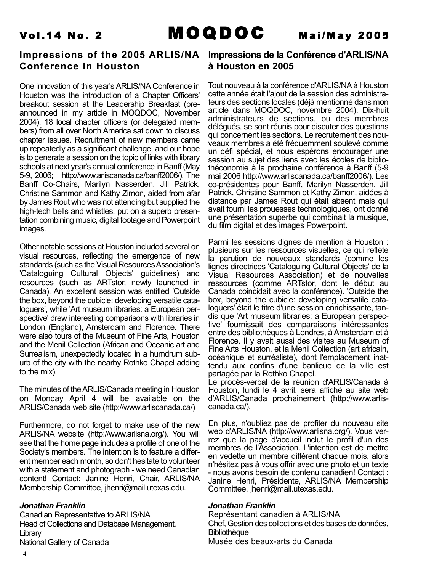

### **Impressions of the 2005 ARLIS/NA Impressions de la Conférence d'ARLIS/NA Conference in Houston**

One innovation of this year's ARLIS/NA Conference in Houston was the introduction of a Chapter Officers' breakout session at the Leadership Breakfast (preannounced in my article in MOQDOC, November 2004). 18 local chapter officers (or delegated members) from all over North America sat down to discuss chapter issues. Recruitment of new members came up repeatedly as a significant challenge, and our hope is to generate a session on the topic of links with library schools at next year's annual conference in Banff (May 5-9, 2006; http://www.arliscanada.ca/banff2006/). The Banff Co-Chairs, Marilyn Nasserden, Jill Patrick, Christine Sammon and Kathy Zimon, aided from afar by James Rout who was not attending but supplied the high-tech bells and whistles, put on a superb presentation combining music, digital footage and Powerpoint images.

Other notable sessions at Houston included several on visual resources, reflecting the emergence of new standards (such as the Visual Resources Association's 'Cataloguing Cultural Objects' guidelines) and resources (such as ARTstor, newly launched in Canada). An excellent session was entitled 'Outside the box, beyond the cubicle: developing versatile cataloguers', while 'Art museum libraries: a European perspective' drew interesting comparisons with libraries in London (England), Amsterdam and Florence. There were also tours of the Museum of Fine Arts, Houston and the Menil Collection (African and Oceanic art and Surrealism, unexpectedly located in a humdrum suburb of the city with the nearby Rothko Chapel adding to the mix).

The minutes of the ARLIS/Canada meeting in Houston on Monday April 4 will be available on the ARLIS/Canada web site (http://www.arliscanada.ca/)

Furthermore, do not forget to make use of the new ARLIS/NA website (http://www.arlisna.org/). You will see that the home page includes a profile of one of the Society's members. The intention is to feature a different member each month, so don't hesitate to volunteer with a statement and photograph - we need Canadian content! Contact: Janine Henri, Chair, ARLIS/NA Membership Committee, jhenri@mail.utexas.edu.

### *Jonathan Franklin*

Canadian Representative to ARLIS/NA Head of Collections and Database Management, **Library** National Gallery of Canada

## **à Houston en 2005**

Tout nouveau à la conférence d'ARLIS/NAà Houston cette année était l'ajout de la session des administrateurs des sections locales (déjà mentionné dans mon article dans MOQDOC, novembre 2004). Dix-huit administrateurs de sections, ou des membres délégués, se sont réunis pour discuter des questions qui concernent les sections. Le recrutement des nouveaux membres a été fréquemment soulevé comme un défi spécial, et nous espérons encourager une session au sujet des liens avec les écoles de bibliothéconomie à la prochaine conférence à Banff (5-9 mai 2006 http://www.arliscanada.ca/banff2006/). Les co-présidentes pour Banff, Marilyn Nasserden, Jill Patrick, Christine Sammon et Kathy Zimon, aidées à distance par James Rout qui était absent mais qui avait fourni les prouesses technologiques, ont donné une présentation superbe qui combinait la musique, du film digital et des images Powerpoint.

Parmi les sessions dignes de mention à Houston : plusieurs sur les ressources visuelles, ce qui reflète la parution de nouveaux standards (comme les lignes directrices 'Cataloguing Cultural Objects' de la Visual Resources Association) et de nouvelles ressources (comme ARTstor, dont le début au Canada coincidait avec la conférence). 'Outside the box, beyond the cubicle: developing versatile cataloguers' était le titre d'une session enrichissante, tandis que 'Art museum libraries: a European perspective' fournissait des comparaisons intéressantes entre des bibliothèques à Londres, à Amsterdam et à Florence. Il y avait aussi des visites au Museum of Fine Arts Houston, et la Menil Collection (art africain, océanique et surréaliste), dont l'emplacement inattendu aux confins d'une banlieue de la ville est partagée par la Rothko Chapel.

Le procès-verbal de la réunion d'ARLIS/Canada à Houston, lundi le 4 avril, sera affiché au site web d'ARLIS/Canada prochainement (http://www.arliscanada.ca/).

En plus, n'oubliez pas de profiter du nouveau site web d'ARLIS/NA (http://www.arlisna.org/). Vous verrez que la page d'accueil inclut le profil d'un des membres de l'Association. L'intention est de mettre en vedette un membre différent chaque mois, alors n'hésitez pas à vous offrir avec une photo et un texte - nous avons besoin de contenu canadien! Contact : Janine Henri, Présidente, ARLIS/NA Membership Committee, jhenri@mail.utexas.edu.

### *Jonathan Franklin*

Représentant canadien à ARLIS/NA Chef, Gestion des collections et des bases de données, **Bibliothèque** Musée des beaux-arts du Canada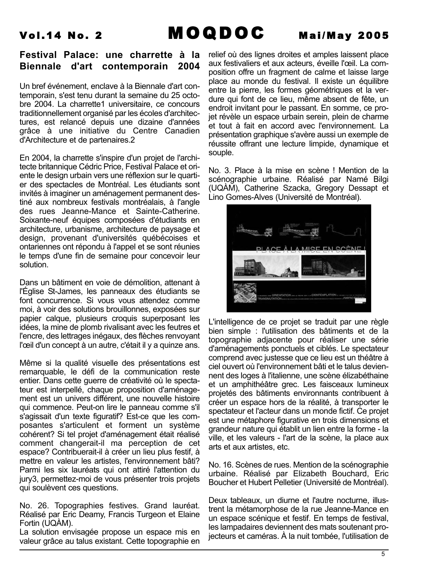### **Festival Palace: une charrette à la Biennale d'art contemporain 2004**

Un bref événement, enclave à la Biennale d'art contemporain, s'est tenu durant la semaine du 25 octobre 2004. La charrette1 universitaire, ce concours traditionnellement organisé par les écoles d'architectures, est relancé depuis une dizaine d'années grâce à une initiative du Centre Canadien d'Architecture et de partenaires.2

En 2004, la charrette s'inspire d'un projet de l'architecte britannique Cédric Price, Festival Palace et oriente le design urbain vers une réflexion sur le quartier des spectacles de Montréal. Les étudiants sont invités à imaginer un aménagement permanent destiné aux nombreux festivals montréalais, à l'angle des rues Jeanne-Mance et Sainte-Catherine. Soixante-neuf équipes composées d'étudiants en architecture, urbanisme, architecture de paysage et design, provenant d'universités québécoises et ontariennes ont répondu à l'appel et se sont réunies le temps d'une fin de semaine pour concevoir leur solution.

Dans un bâtiment en voie de démolition, attenant à l'Église St-James, les panneaux des étudiants se font concurrence. Si vous vous attendez comme moi, à voir des solutions brouillonnes, exposées sur papier calque, plusieurs croquis superposant les idées, la mine de plomb rivalisant avec les feutres et l'encre, des lettrages inégaux, des flèches renvoyant l'œil d'un concept à un autre, c'était il y a quinze ans.

Même si la qualité visuelle des présentations est remarquable, le défi de la communication reste entier. Dans cette guerre de créativité où le spectateur est interpellé, chaque proposition d'aménagement est un univers différent, une nouvelle histoire qui commence. Peut-on lire le panneau comme s'il s'agissait d'un texte figuratif? Est-ce que les composantes s'articulent et forment un système cohérent? Si tel projet d'aménagement était réalisé comment changerait-il ma perception de cet espace? Contribuerait-il à créer un lieu plus festif, à mettre en valeur les artistes, l'environnement bâti? Parmi les six lauréats qui ont attiré l'attention du jury3, permettez-moi de vous présenter trois projets qui soulèvent ces questions.

No. 26. Topographies festives. Grand lauréat. Réalisé par Eric Deamy, Francis Turgeon et Elaine Fortin (UQÀM).

La solution envisagée propose un espace mis en valeur grâce au talus existant. Cette topographie en relief où des lignes droites et amples laissent place aux festivaliers et aux acteurs, éveille l'œil. La composition offre un fragment de calme et laisse large place au monde du festival. Il existe un équilibre entre la pierre, les formes géométriques et la verdure qui font de ce lieu, même absent de fête, un endroit invitant pour le passant. En somme, ce projet révèle un espace urbain serein, plein de charme et tout à fait en accord avec l'environnement. La présentation graphique s'avère aussi un exemple de réussite offrant une lecture limpide, dynamique et souple.

No. 3. Place à la mise en scène ! Mention de la scénographie urbaine. Réalisé par Namé Bilgi (UQÀM), Catherine Szacka, Gregory Dessapt et Lino Gomes-Alves (Université de Montréal).



L'intelligence de ce projet se traduit par une règle bien simple : l'utilisation des bâtiments et de la topographie adjacente pour réaliser une série d'aménagements ponctuels et ciblés. Le spectateur comprend avec justesse que ce lieu est un théâtre à ciel ouvert où l'environnement bâti et le talus deviennent des loges à l'italienne, une scène élizabéthaine et un amphithéâtre grec. Les faisceaux lumineux projetés des bâtiments environnants contribuent à créer un espace hors de la réalité, à transporter le spectateur et l'acteur dans un monde fictif. Ce projet est une métaphore figurative en trois dimensions et grandeur nature qui établit un lien entre la forme - la ville, et les valeurs - l'art de la scène, la place aux arts et aux artistes, etc.

No. 16. Scènes de rues. Mention de la scénographie urbaine. Réalisé par Elizabeth Bouchard, Eric Boucher et Hubert Pelletier (Université de Montréal).

Deux tableaux, un diurne et l'autre nocturne, illustrent la métamorphose de la rue Jeanne-Mance en un espace scénique et festif. En temps de festival, les lampadaires deviennent des mats soutenant projecteurs et caméras. À la nuit tombée, l'utilisation de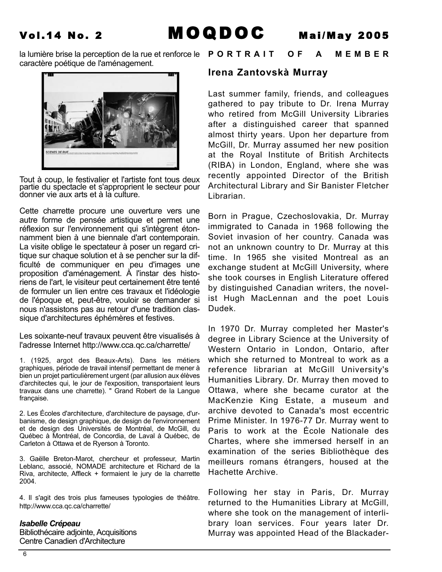

caractère poétique de l'aménagement.



Tout à coup, le festivalier et l'artiste font tous deux partie du spectacle et s'approprient le secteur pour donner vie aux arts et à la culture.

Cette charrette procure une ouverture vers une autre forme de pensée artistique et permet une réflexion sur l'environnement qui s'intègrent étonnamment bien à une biennale d'art contemporain. La visite oblige le spectateur à poser un regard critique sur chaque solution et à se pencher sur la difficulté de communiquer en peu d'images une proposition d'aménagement. À l'instar des historiens de l'art, le visiteur peut certainement être tenté de formuler un lien entre ces travaux et l'idéologie de l'époque et, peut-être, vouloir se demander si nous n'assistons pas au retour d'une tradition classique d'architectures éphémères et festives.

Les soixante-neuf travaux peuvent être visualisés à l'adresse Internet http://www.cca.qc.ca/charrette/

1. (1925, argot des Beaux-Arts). Dans les métiers graphiques, période de travail intensif permettant de mener à bien un projet particulièrement urgent (par allusion aux élèves d'architectes qui, le jour de l'exposition, transportaient leurs travaux dans une charrette). " Grand Robert de la Langue française.

2. Les Écoles d'architecture, d'architecture de paysage, d'urbanisme, de design graphique, de design de l'environnement et de design des Universités de Montréal, de McGill, du Québec à Montréal, de Concordia, de Laval à Québec, de Carleton à Ottawa et de Ryerson à Toronto.

3. Gaëlle Breton-Marot, chercheur et professeur, Martin Leblanc, associé, NOMADE architecture et Richard de la Riva, architecte, Affleck + formaient le jury de la charrette 2004.

4. Il s'agit des trois plus fameuses typologies de théâtre. http://www.cca.qc.ca/charrette/

### *Isabelle Crépeau*

Bibliothécaire adjointe, Acquisitions Centre Canadien d'Architecture

### la lumière brise la perception de la rue et renforce le **PORTRAIT OF A MEMBER**

### **Irena Zantovskà Murray**

Last summer family, friends, and colleagues gathered to pay tribute to Dr. Irena Murray who retired from McGill University Libraries after a distinguished career that spanned almost thirty years. Upon her departure from McGill, Dr. Murray assumed her new position at the Royal Institute of British Architects (RIBA) in London, England, where she was recently appointed Director of the British Architectural Library and Sir Banister Fletcher Librarian.

Born in Prague, Czechoslovakia, Dr. Murray immigrated to Canada in 1968 following the Soviet invasion of her country. Canada was not an unknown country to Dr. Murray at this time. In 1965 she visited Montreal as an exchange student at McGill University, where she took courses in English Literature offered by distinguished Canadian writers, the novelist Hugh MacLennan and the poet Louis Dudek.

In 1970 Dr. Murray completed her Master's degree in Library Science at the University of Western Ontario in London, Ontario, after which she returned to Montreal to work as a reference librarian at McGill University's Humanities Library. Dr. Murray then moved to Ottawa, where she became curator at the MacKenzie King Estate, a museum and archive devoted to Canada's most eccentric Prime Minister. In 1976-77 Dr. Murray went to Paris to work at the École Nationale des Chartes, where she immersed herself in an examination of the series Bibliothèque des meilleurs romans étrangers, housed at the Hachette Archive.

Following her stay in Paris, Dr. Murray returned to the Humanities Library at McGill, where she took on the management of interlibrary loan services. Four years later Dr. Murray was appointed Head of the Blackader-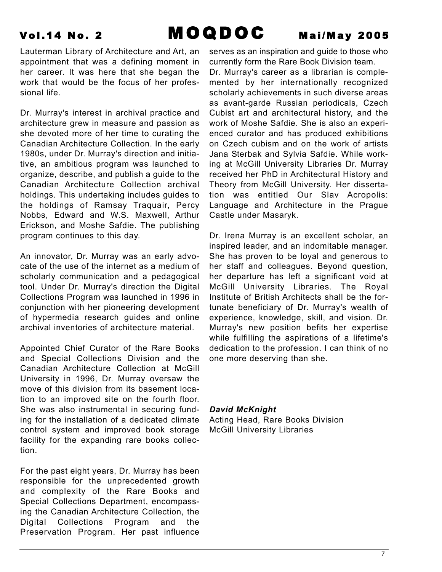Lauterman Library of Architecture and Art, an appointment that was a defining moment in her career. It was here that she began the work that would be the focus of her professional life.

Dr. Murray's interest in archival practice and architecture grew in measure and passion as she devoted more of her time to curating the Canadian Architecture Collection. In the early 1980s, under Dr. Murray's direction and initiative, an ambitious program was launched to organize, describe, and publish a guide to the Canadian Architecture Collection archival holdings. This undertaking includes guides to the holdings of Ramsay Traquair, Percy Nobbs, Edward and W.S. Maxwell, Arthur Erickson, and Moshe Safdie. The publishing program continues to this day.

An innovator, Dr. Murray was an early advocate of the use of the internet as a medium of scholarly communication and a pedagogical tool. Under Dr. Murray's direction the Digital Collections Program was launched in 1996 in conjunction with her pioneering development of hypermedia research guides and online archival inventories of architecture material.

Appointed Chief Curator of the Rare Books and Special Collections Division and the Canadian Architecture Collection at McGill University in 1996, Dr. Murray oversaw the move of this division from its basement location to an improved site on the fourth floor. She was also instrumental in securing funding for the installation of a dedicated climate control system and improved book storage facility for the expanding rare books collection.

For the past eight years, Dr. Murray has been responsible for the unprecedented growth and complexity of the Rare Books and Special Collections Department, encompassing the Canadian Architecture Collection, the Digital Collections Program and the Preservation Program. Her past influence serves as an inspiration and guide to those who currently form the Rare Book Division team.

Dr. Murray's career as a librarian is complemented by her internationally recognized scholarly achievements in such diverse areas as avant-garde Russian periodicals, Czech Cubist art and architectural history, and the work of Moshe Safdie. She is also an experienced curator and has produced exhibitions on Czech cubism and on the work of artists Jana Sterbak and Sylvia Safdie. While working at McGill University Libraries Dr. Murray received her PhD in Architectural History and Theory from McGill University. Her dissertation was entitled Our Slav Acropolis: Language and Architecture in the Prague Castle under Masaryk.

Dr. Irena Murray is an excellent scholar, an inspired leader, and an indomitable manager. She has proven to be loyal and generous to her staff and colleagues. Beyond question, her departure has left a significant void at McGill University Libraries. The Royal Institute of British Architects shall be the fortunate beneficiary of Dr. Murray's wealth of experience, knowledge, skill, and vision. Dr. Murray's new position befits her expertise while fulfilling the aspirations of a lifetime's dedication to the profession. I can think of no one more deserving than she.

### *David McKnight*

Acting Head, Rare Books Division McGill University Libraries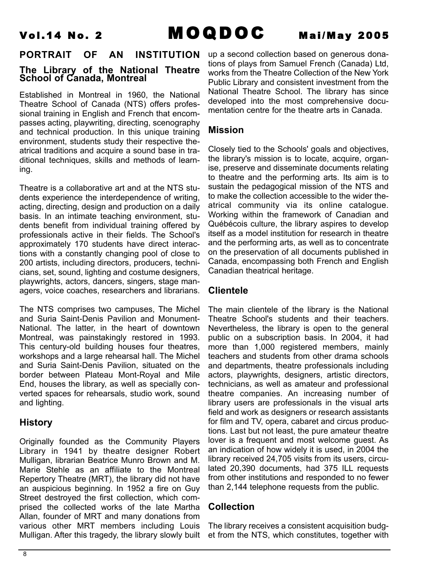### **PORTRAIT OF AN INSTITUTION**

### **The Library of the National Theatre School of Canada, Montreal**

Established in Montreal in 1960, the National Theatre School of Canada (NTS) offers professional training in English and French that encompasses acting, playwriting, directing, scenography and technical production. In this unique training environment, students study their respective theatrical traditions and acquire a sound base in traditional techniques, skills and methods of learning.

Theatre is a collaborative art and at the NTS students experience the interdependence of writing, acting, directing, design and production on a daily basis. In an intimate teaching environment, students benefit from individual training offered by professionals active in their fields. The School's approximately 170 students have direct interactions with a constantly changing pool of close to 200 artists, including directors, producers, technicians, set, sound, lighting and costume designers, playwrights, actors, dancers, singers, stage managers, voice coaches, researchers and librarians.

The NTS comprises two campuses, The Michel and Suria Saint-Denis Pavilion and Monument-National. The latter, in the heart of downtown Montreal, was painstakingly restored in 1993. This century-old building houses four theatres, workshops and a large rehearsal hall. The Michel and Suria Saint-Denis Pavilion, situated on the border between Plateau Mont-Royal and Mile End, houses the library, as well as specially converted spaces for rehearsals, studio work, sound and lighting.

### **History**

Originally founded as the Community Players Library in 1941 by theatre designer Robert Mulligan, librarian Beatrice Munro Brown and M. Marie Stehle as an affiliate to the Montreal Repertory Theatre (MRT), the library did not have an auspicious beginning. In 1952 a fire on Guy Street destroyed the first collection, which comprised the collected works of the late Martha Allan, founder of MRT and many donations from various other MRT members including Louis Mulligan. After this tragedy, the library slowly built

up a second collection based on generous donations of plays from Samuel French (Canada) Ltd, works from the Theatre Collection of the New York Public Library and consistent investment from the National Theatre School. The library has since developed into the most comprehensive documentation centre for the theatre arts in Canada.

### **Mission**

Closely tied to the Schools' goals and objectives, the library's mission is to locate, acquire, organise, preserve and disseminate documents relating to theatre and the performing arts. Its aim is to sustain the pedagogical mission of the NTS and to make the collection accessible to the wider theatrical community via its online catalogue. Working within the framework of Canadian and Québécois culture, the library aspires to develop itself as a model institution for research in theatre and the performing arts, as well as to concentrate on the preservation of all documents published in Canada, encompassing both French and English Canadian theatrical heritage.

### **Clientele**

The main clientele of the library is the National Theatre School's students and their teachers. Nevertheless, the library is open to the general public on a subscription basis. In 2004, it had more than 1,000 registered members, mainly teachers and students from other drama schools and departments, theatre professionals including actors, playwrights, designers, artistic directors, technicians, as well as amateur and professional theatre companies. An increasing number of library users are professionals in the visual arts field and work as designers or research assistants for film and TV, opera, cabaret and circus productions. Last but not least, the pure amateur theatre lover is a frequent and most welcome guest. As an indication of how widely it is used, in 2004 the library received 24,705 visits from its users, circulated 20,390 documents, had 375 ILL requests from other institutions and responded to no fewer than 2,144 telephone requests from the public.

### **Collection**

The library receives a consistent acquisition budget from the NTS, which constitutes, together with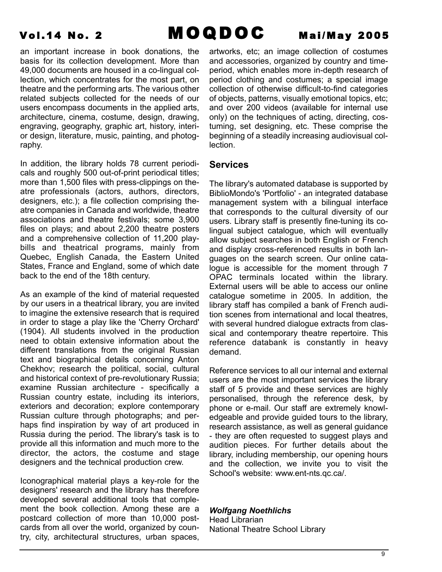an important increase in book donations, the basis for its collection development. More than 49,000 documents are housed in a co-lingual collection, which concentrates for the most part, on theatre and the performing arts. The various other related subjects collected for the needs of our users encompass documents in the applied arts, architecture, cinema, costume, design, drawing, engraving, geography, graphic art, history, interior design, literature, music, painting, and photography.

In addition, the library holds 78 current periodicals and roughly 500 out-of-print periodical titles; more than 1,500 files with press-clippings on theatre professionals (actors, authors, directors, designers, etc.); a file collection comprising theatre companies in Canada and worldwide, theatre associations and theatre festivals; some 3,900 files on plays; and about 2,200 theatre posters and a comprehensive collection of 11,200 playbills and theatrical programs, mainly from Quebec, English Canada, the Eastern United States, France and England, some of which date back to the end of the 18th century.

As an example of the kind of material requested by our users in a theatrical library, you are invited to imagine the extensive research that is required in order to stage a play like the 'Cherry Orchard' (1904). All students involved in the production need to obtain extensive information about the different translations from the original Russian text and biographical details concerning Anton Chekhov; research the political, social, cultural and historical context of pre-revolutionary Russia; examine Russian architecture - specifically a Russian country estate, including its interiors, exteriors and decoration; explore contemporary Russian culture through photographs; and perhaps find inspiration by way of art produced in Russia during the period. The library's task is to provide all this information and much more to the director, the actors, the costume and stage designers and the technical production crew.

Iconographical material plays a key-role for the designers' research and the library has therefore developed several additional tools that complement the book collection. Among these are a postcard collection of more than 10,000 postcards from all over the world, organized by country, city, architectural structures, urban spaces,

artworks, etc; an image collection of costumes and accessories, organized by country and timeperiod, which enables more in-depth research of period clothing and costumes; a special image collection of otherwise difficult-to-find categories of objects, patterns, visually emotional topics, etc; and over 200 videos (available for internal use only) on the techniques of acting, directing, costuming, set designing, etc. These comprise the beginning of a steadily increasing audiovisual collection.

### **Services**

The library's automated database is supported by BiblioMondo's 'Portfolio' - an integrated database management system with a bilingual interface that corresponds to the cultural diversity of our users. Library staff is presently fine-tuning its colingual subject catalogue, which will eventually allow subject searches in both English or French and display cross-referenced results in both languages on the search screen. Our online catalogue is accessible for the moment through 7 OPAC terminals located within the library. External users will be able to access our online catalogue sometime in 2005. In addition, the library staff has compiled a bank of French audition scenes from international and local theatres, with several hundred dialogue extracts from classical and contemporary theatre repertoire. This reference databank is constantly in heavy demand.

Reference services to all our internal and external users are the most important services the library staff of 5 provide and these services are highly personalised, through the reference desk, by phone or e-mail. Our staff are extremely knowledgeable and provide guided tours to the library, research assistance, as well as general guidance - they are often requested to suggest plays and audition pieces. For further details about the library, including membership, our opening hours and the collection, we invite you to visit the School's website: www.ent-nts.qc.ca/.

### *Wolfgang Noethlichs*

Head Librarian National Theatre School Library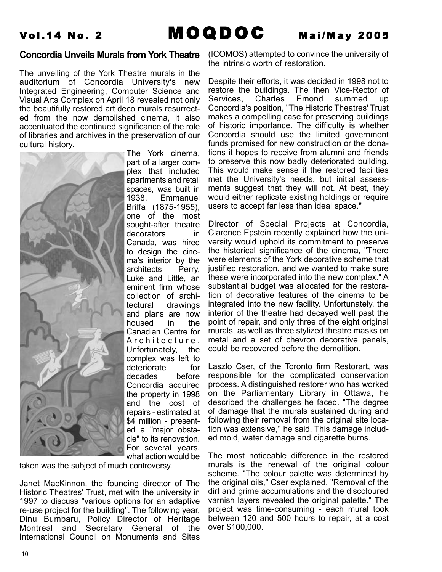Vol.14 No. 2 **MOQDOC** Mai/May 2005

### **Concordia Unveils Murals from York Theatre**

The unveiling of the York Theatre murals in the auditorium of Concordia University's new Integrated Engineering, Computer Science and Visual Arts Complex on April 18 revealed not only the beautifully restored art deco murals resurrected from the now demolished cinema, it also accentuated the continued significance of the role of libraries and archives in the preservation of our cultural history.



The York cinema, part of a larger complex that included apartments and retail spaces, was built in 1938. Emmanuel Briffa (1875-1955), one of the most sought-after theatre decorators in Canada, was hired to design the cinema's interior by the architects Perry, Luke and Little, an eminent firm whose collection of architectural drawings and plans are now housed in the Canadian Centre for Architecture. Unfortunately, the complex was left to deteriorate for decades before Concordia acquired the property in 1998 and the cost of repairs - estimated at \$4 million - presented a "major obstacle" to its renovation. For several years, what action would be

taken was the subject of much controversy.

Janet MacKinnon, the founding director of The Historic Theatres' Trust, met with the university in 1997 to discuss "various options for an adaptive re-use project for the building". The following year, Dinu Bumbaru, Policy Director of Heritage Montreal and Secretary General of the International Council on Monuments and Sites

(ICOMOS) attempted to convince the university of the intrinsic worth of restoration.

Despite their efforts, it was decided in 1998 not to restore the buildings. The then Vice-Rector of Services, Charles Emond summed up Concordia's position, "The Historic Theatres' Trust makes a compelling case for preserving buildings of historic importance. The difficulty is whether Concordia should use the limited government funds promised for new construction or the donations it hopes to receive from alumni and friends to preserve this now badly deteriorated building. This would make sense if the restored facilities met the University's needs, but initial assessments suggest that they will not. At best, they would either replicate existing holdings or require users to accept far less than ideal space."

Director of Special Projects at Concordia, Clarence Epstein recently explained how the university would uphold its commitment to preserve the historical significance of the cinema, "There were elements of the York decorative scheme that justified restoration, and we wanted to make sure these were incorporated into the new complex." A substantial budget was allocated for the restoration of decorative features of the cinema to be integrated into the new facility. Unfortunately, the interior of the theatre had decayed well past the point of repair, and only three of the eight original murals, as well as three stylized theatre masks on metal and a set of chevron decorative panels, could be recovered before the demolition.

Laszlo Cser, of the Toronto firm Restorart, was responsible for the complicated conservation process. A distinguished restorer who has worked on the Parliamentary Library in Ottawa, he described the challenges he faced. "The degree of damage that the murals sustained during and following their removal from the original site location was extensive," he said. This damage included mold, water damage and cigarette burns.

The most noticeable difference in the restored murals is the renewal of the original colour scheme. "The colour palette was determined by the original oils," Cser explained. "Removal of the dirt and grime accumulations and the discoloured varnish layers revealed the original palette." The project was time-consuming - each mural took between 120 and 500 hours to repair, at a cost over \$100,000.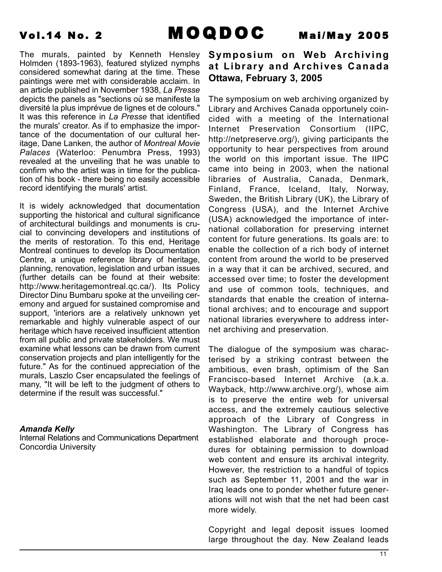The murals, painted by Kenneth Hensley Holmden (1893-1963), featured stylized nymphs considered somewhat daring at the time. These paintings were met with considerable acclaim. In an article published in November 1938, *La Presse* depicts the panels as "sections où se manifeste la diversité la plus imprévue de lignes et de colours." It was this reference in *La Presse* that identified the murals' creator. As if to emphasize the importance of the documentation of our cultural heritage, Dane Lanken, the author of *Montreal Movie Palaces* (Waterloo: Penumbra Press, 1993) revealed at the unveiling that he was unable to confirm who the artist was in time for the publication of his book - there being no easily accessible record identifying the murals' artist.

It is widely acknowledged that documentation supporting the historical and cultural significance of architectural buildings and monuments is crucial to convincing developers and institutions of the merits of restoration. To this end, Heritage Montreal continues to develop its Documentation Centre, a unique reference library of heritage, planning, renovation, legislation and urban issues (further details can be found at their website: http://www.heritagemontreal.qc.ca/). Its Policy Director Dinu Bumbaru spoke at the unveiling ceremony and argued for sustained compromise and support, 'interiors are a relatively unknown yet remarkable and highly vulnerable aspect of our heritage which have received insufficient attention from all public and private stakeholders. We must examine what lessons can be drawn from current conservation projects and plan intelligently for the future." As for the continued appreciation of the murals, Laszlo Cser encapsulated the feelings of many, "It will be left to the judgment of others to determine if the result was successful."

### *Amanda Kelly*

Internal Relations and Communications Department Concordia University

### **Symposium on Web Archiving at Library and Archives Canada Ottawa, February 3, 2005**

The symposium on web archiving organized by Library and Archives Canada opportunely coincided with a meeting of the International Internet Preservation Consortium (IIPC, http://netpreserve.org/), giving participants the opportunity to hear perspectives from around the world on this important issue. The IIPC came into being in 2003, when the national libraries of Australia, Canada, Denmark, Finland, France, Iceland, Italy, Norway, Sweden, the British Library (UK), the Library of Congress (USA), and the Internet Archive (USA) acknowledged the importance of international collaboration for preserving internet content for future generations. Its goals are: to enable the collection of a rich body of internet content from around the world to be preserved in a way that it can be archived, secured, and accessed over time; to foster the development and use of common tools, techniques, and standards that enable the creation of international archives; and to encourage and support national libraries everywhere to address internet archiving and preservation.

The dialogue of the symposium was characterised by a striking contrast between the ambitious, even brash, optimism of the San Francisco-based Internet Archive (a.k.a. Wayback, http://www.archive.org/), whose aim is to preserve the entire web for universal access, and the extremely cautious selective approach of the Library of Congress in Washington. The Library of Congress has established elaborate and thorough procedures for obtaining permission to download web content and ensure its archival integrity. However, the restriction to a handful of topics such as September 11, 2001 and the war in Iraq leads one to ponder whether future generations will not wish that the net had been cast more widely.

Copyright and legal deposit issues loomed large throughout the day. New Zealand leads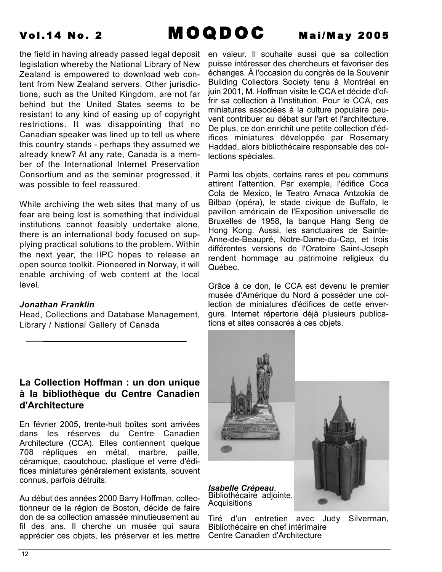the field in having already passed legal deposit legislation whereby the National Library of New Zealand is empowered to download web content from New Zealand servers. Other jurisdictions, such as the United Kingdom, are not far behind but the United States seems to be resistant to any kind of easing up of copyright restrictions. It was disappointing that no Canadian speaker was lined up to tell us where this country stands - perhaps they assumed we already knew? At any rate, Canada is a member of the International Internet Preservation Consortium and as the seminar progressed, it was possible to feel reassured.

While archiving the web sites that many of us fear are being lost is something that individual institutions cannot feasibly undertake alone, there is an international body focused on supplying practical solutions to the problem. Within the next year, the IIPC hopes to release an open source toolkit. Pioneered in Norway, it will enable archiving of web content at the local level.

### *Jonathan Franklin*

Head, Collections and Database Management, Library / National Gallery of Canada

### **La Collection Hoffman : un don unique à la bibliothèque du Centre Canadien d'Architecture**

En février 2005, trente-huit boîtes sont arrivées dans les réserves du Centre Canadien Architecture (CCA). Elles contiennent quelque 708 répliques en métal, marbre, paille, céramique, caoutchouc, plastique et verre d'édifices miniatures généralement existants, souvent connus, parfois détruits.

Au début des années 2000 Barry Hoffman, collectionneur de la région de Boston, décide de faire don de sa collection amassée minutieusement au fil des ans. Il cherche un musée qui saura apprécier ces objets, les préserver et les mettre

en valeur. Il souhaite aussi que sa collection puisse intéresser des chercheurs et favoriser des échanges. À l'occasion du congrès de la Souvenir Building Collectors Society tenu à Montréal en juin 2001, M. Hoffman visite le CCA et décide d'offrir sa collection à l'institution. Pour le CCA, ces miniatures associées à la culture populaire peuvent contribuer au débat sur l'art et l'architecture. De plus, ce don enrichit une petite collection d'édifices miniatures développée par Rosemary Haddad, alors bibliothécaire responsable des collections spéciales.

Parmi les objets, certains rares et peu communs attirent l'attention. Par exemple, l'édifice Coca Cola de Mexico, le Teatro Arnaca Antzokia de Bilbao (opéra), le stade civique de Buffalo, le pavillon américain de l'Exposition universelle de Bruxelles de 1958, la banque Hang Seng de Hong Kong. Aussi, les sanctuaires de Sainte-Anne-de-Beaupré, Notre-Dame-du-Cap, et trois différentes versions de l'Oratoire Saint-Joseph rendent hommage au patrimoine religieux du Québec.

Grâce à ce don, le CCA est devenu le premier musée d'Amérique du Nord à posséder une collection de miniatures d'édifices de cette envergure. Internet répertorie déjà plusieurs publications et sites consacrés à ces objets.



*Isabelle Crépeau*, Bibliothécaire adjointe, Acquisitions



Tiré d'un entretien avec Judy Silverman, Bibliothécaire en chef intérimaire Centre Canadien d'Architecture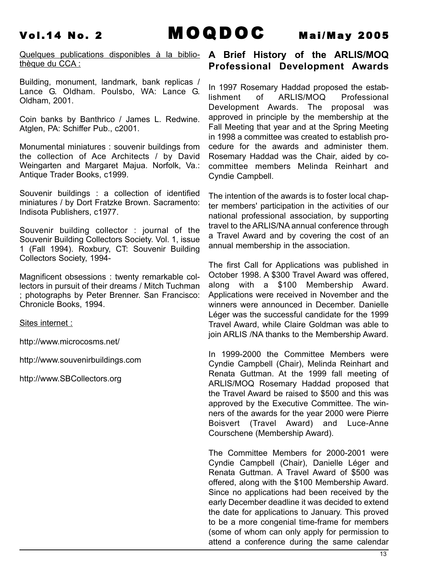Quelques publications disponibles à la biblio-**A Brief History of the ARLIS/MOQ** thèque du CCA :

Building, monument, landmark, bank replicas / Lance G. Oldham. Poulsbo, WA: Lance G. Oldham, 2001.

Coin banks by Banthrico / James L. Redwine. Atglen, PA: Schiffer Pub., c2001.

Monumental miniatures : souvenir buildings from the collection of Ace Architects / by David Weingarten and Margaret Majua. Norfolk, Va.: Antique Trader Books, c1999.

Souvenir buildings : a collection of identified miniatures / by Dort Fratzke Brown. Sacramento: Indisota Publishers, c1977.

Souvenir building collector : journal of the Souvenir Building Collectors Society. Vol. 1, issue 1 (Fall 1994). Roxbury, CT: Souvenir Building Collectors Society, 1994-

Magnificent obsessions : twenty remarkable collectors in pursuit of their dreams / Mitch Tuchman ; photographs by Peter Brenner. San Francisco: Chronicle Books, 1994.

Sites internet :

http://www.microcosms.net/

http://www.souvenirbuildings.com

http://www.SBCollectors.org

## **Professional Development Awards**

In 1997 Rosemary Haddad proposed the establishment of ARLIS/MOQ Professional Development Awards. The proposal was approved in principle by the membership at the Fall Meeting that year and at the Spring Meeting in 1998 a committee was created to establish procedure for the awards and administer them. Rosemary Haddad was the Chair, aided by cocommittee members Melinda Reinhart and Cyndie Campbell.

The intention of the awards is to foster local chapter members' participation in the activities of our national professional association, by supporting travel to the ARLIS/NA annual conference through a Travel Award and by covering the cost of an annual membership in the association.

The first Call for Applications was published in October 1998. A \$300 Travel Award was offered, along with a \$100 Membership Award. Applications were received in November and the winners were announced in December. Danielle Léger was the successful candidate for the 1999 Travel Award, while Claire Goldman was able to join ARLIS /NA thanks to the Membership Award.

In 1999-2000 the Committee Members were Cyndie Campbell (Chair), Melinda Reinhart and Renata Guttman. At the 1999 fall meeting of ARLIS/MOQ Rosemary Haddad proposed that the Travel Award be raised to \$500 and this was approved by the Executive Committee. The winners of the awards for the year 2000 were Pierre Boisvert (Travel Award) and Luce-Anne Courschene (Membership Award).

The Committee Members for 2000-2001 were Cyndie Campbell (Chair), Danielle Léger and Renata Guttman. A Travel Award of \$500 was offered, along with the \$100 Membership Award. Since no applications had been received by the early December deadline it was decided to extend the date for applications to January. This proved to be a more congenial time-frame for members (some of whom can only apply for permission to attend a conference during the same calendar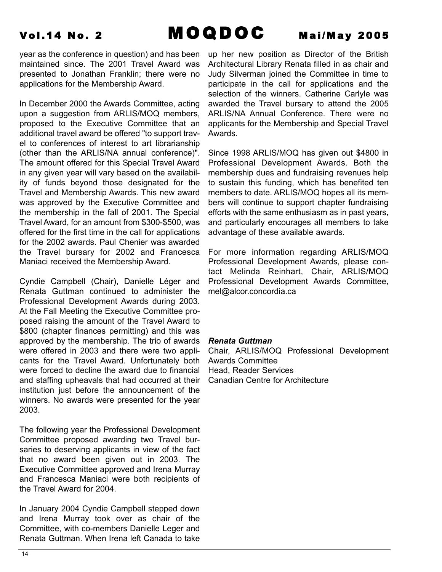year as the conference in question) and has been maintained since. The 2001 Travel Award was presented to Jonathan Franklin; there were no applications for the Membership Award.

In December 2000 the Awards Committee, acting upon a suggestion from ARLIS/MOQ members, proposed to the Executive Committee that an additional travel award be offered "to support travel to conferences of interest to art librarianship (other than the ARLIS/NA annual conference)". The amount offered for this Special Travel Award in any given year will vary based on the availability of funds beyond those designated for the Travel and Membership Awards. This new award was approved by the Executive Committee and the membership in the fall of 2001. The Special Travel Award, for an amount from \$300-\$500, was offered for the first time in the call for applications for the 2002 awards. Paul Chenier was awarded the Travel bursary for 2002 and Francesca Maniaci received the Membership Award.

Cyndie Campbell (Chair), Danielle Léger and Renata Guttman continued to administer the Professional Development Awards during 2003. At the Fall Meeting the Executive Committee proposed raising the amount of the Travel Award to \$800 (chapter finances permitting) and this was approved by the membership. The trio of awards were offered in 2003 and there were two applicants for the Travel Award. Unfortunately both were forced to decline the award due to financial and staffing upheavals that had occurred at their institution just before the announcement of the winners. No awards were presented for the year 2003.

The following year the Professional Development Committee proposed awarding two Travel bursaries to deserving applicants in view of the fact that no award been given out in 2003. The Executive Committee approved and Irena Murray and Francesca Maniaci were both recipients of the Travel Award for 2004.

In January 2004 Cyndie Campbell stepped down and Irena Murray took over as chair of the Committee, with co-members Danielle Leger and Renata Guttman. When Irena left Canada to take

up her new position as Director of the British Architectural Library Renata filled in as chair and Judy Silverman joined the Committee in time to participate in the call for applications and the selection of the winners. Catherine Carlyle was awarded the Travel bursary to attend the 2005 ARLIS/NA Annual Conference. There were no applicants for the Membership and Special Travel Awards.

Since 1998 ARLIS/MOQ has given out \$4800 in Professional Development Awards. Both the membership dues and fundraising revenues help to sustain this funding, which has benefited ten members to date. ARLIS/MOQ hopes all its members will continue to support chapter fundraising efforts with the same enthusiasm as in past years, and particularly encourages all members to take advantage of these available awards.

For more information regarding ARLIS/MOQ Professional Development Awards, please contact Melinda Reinhart, Chair, ARLIS/MOQ Professional Development Awards Committee, mel@alcor.concordia.ca

### *Renata Guttman*

Chair, ARLIS/MOQ Professional Development Awards Committee Head, Reader Services Canadian Centre for Architecture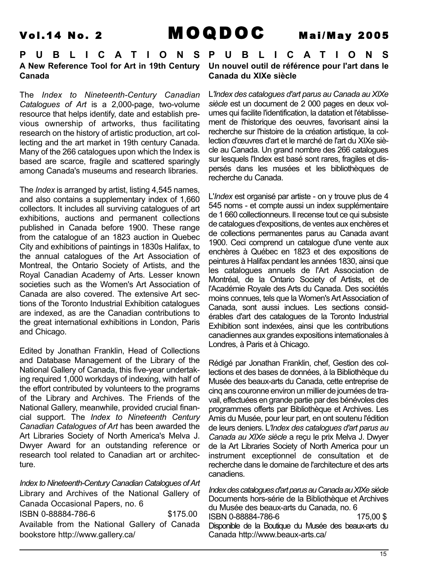### **PUBLICATIONS A New Reference Tool for Art in 19th Century Canada**

The *Index to Nineteenth-Century Canadian Catalogues of Art* is a 2,000-page, two-volume resource that helps identify, date and establish previous ownership of artworks, thus facilitating research on the history of artistic production, art collecting and the art market in 19th century Canada. Many of the 266 catalogues upon which the Index is based are scarce, fragile and scattered sparingly among Canada's museums and research libraries.

The *Index* is arranged by artist, listing 4,545 names, and also contains a supplementary index of 1,660 collectors. It includes all surviving catalogues of art exhibitions, auctions and permanent collections published in Canada before 1900. These range from the catalogue of an 1823 auction in Quebec City and exhibitions of paintings in 1830s Halifax, to the annual catalogues of the Art Association of Montreal, the Ontario Society of Artists, and the Royal Canadian Academy of Arts. Lesser known societies such as the Women's Art Association of Canada are also covered. The extensive Art sections of the Toronto Industrial Exhibition catalogues are indexed, as are the Canadian contributions to the great international exhibitions in London, Paris and Chicago.

Edited by Jonathan Franklin, Head of Collections and Database Management of the Library of the National Gallery of Canada, this five-year undertaking required 1,000 workdays of indexing, with half of the effort contributed by volunteers to the programs of the Library and Archives. The Friends of the National Gallery, meanwhile, provided crucial financial support. The *Index to Nineteenth Century Canadian Catalogues of Art* has been awarded the Art Libraries Society of North America's Melva J. Dwyer Award for an outstanding reference or research tool related to Canadian art or architecture.

*Index to Nineteenth-Century Canadian Catalogues of Art* Library and Archives of the National Gallery of Canada Occasional Papers, no. 6 ISBN 0-88884-786-6 \$175.00 Available from the National Gallery of Canada bookstore http://www.gallery.ca/

**PUBLICATIONS Un nouvel outil de référence pour l'art dans le Canada du XIXe siècle**

L*'Index des catalogues d'art parus au Canada au XIXe siècle* est un document de 2 000 pages en deux volumes qui facilite l'identification, la datation et l'établissement de l'historique des oeuvres, favorisant ainsi la recherche sur l'histoire de la création artistique, la collection d'œuvres d'art et le marché de l'art du XIXe siècle au Canada. Un grand nombre des 266 catalogues sur lesquels l'Index est basé sont rares, fragiles et dispersés dans les musées et les bibliothèques de recherche du Canada.

L'*Index* est organisé par artiste - on y trouve plus de 4 545 noms - et compte aussi un index supplémentaire de 1 660 collectionneurs. Il recense tout ce qui subsiste de catalogues d'expositions, de ventes aux enchères et de collections permanentes parus au Canada avant 1900. Ceci comprend un catalogue d'une vente aux enchères à Québec en 1823 et des expositions de peintures à Halifax pendant les années 1830, ainsi que les catalogues annuels de l'Art Association de Montréal, de la Ontario Society of Artists, et de l'Académie Royale des Arts du Canada. Des sociétés moins connues, tels que la Women's Art Association of Canada, sont aussi inclues. Les sections considérables d'art des catalogues de la Toronto Industrial Exhibition sont indexées, ainsi que les contributions canadiennes aux grandes expositions internationales à Londres, à Paris et à Chicago.

Rédigé par Jonathan Franklin, chef, Gestion des collections et des bases de données, à la Bibliothèque du Musée des beaux-arts du Canada, cette entreprise de cinq ans couronne environ un millier de journées de travail, effectuées en grande partie par des bénévoles des programmes offerts par Bibliothèque et Archives. Les Amis du Musée, pour leur part, en ont soutenu l'édition de leurs deniers. L*'Index des catalogues d'art parus au Canada au XIXe siècle* a reçu le prix Melva J. Dwyer de la Art Libraries Society of North America pour un instrument exceptionnel de consultation et de recherche dans le domaine de l'architecture et des arts canadiens.

*Index des catalogues d'art parus au Canada au XIXe siècle* Documents hors-série de la Bibliothèque et Archives du Musée des beaux-arts du Canada, no. 6 ISBN 0-88884-786-6 175,00 \$ Disponible de la Boutique du Musée des beaux-arts du Canada http://www.beaux-arts.ca/